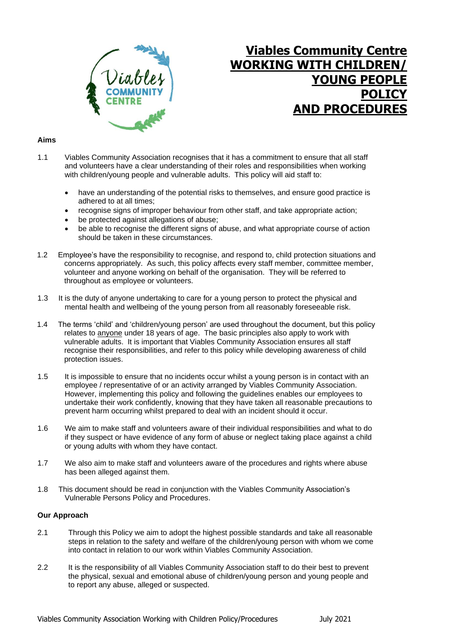

# **Viables Community Centre WORKING WITH CHILDREN/ YOUNG PEOPLE POLI AND PROCEDUR**

## **Aims**

- 1.1 Viables Community Association recognises that it has a commitment to ensure that all staff and volunteers have a clear understanding of their roles and responsibilities when working with children/young people and vulnerable adults. This policy will aid staff to:
	- have an understanding of the potential risks to themselves, and ensure good practice is adhered to at all times;
	- recognise signs of improper behaviour from other staff, and take appropriate action;
	- be protected against allegations of abuse:
	- be able to recognise the different signs of abuse, and what appropriate course of action should be taken in these circumstances.
- 1.2 Employee's have the responsibility to recognise, and respond to, child protection situations and concerns appropriately. As such, this policy affects every staff member, committee member, volunteer and anyone working on behalf of the organisation. They will be referred to throughout as employee or volunteers.
- 1.3 It is the duty of anyone undertaking to care for a young person to protect the physical and mental health and wellbeing of the young person from all reasonably foreseeable risk.
- 1.4 The terms 'child' and 'children/young person' are used throughout the document, but this policy relates to anyone under 18 years of age. The basic principles also apply to work with vulnerable adults. It is important that Viables Community Association ensures all staff recognise their responsibilities, and refer to this policy while developing awareness of child protection issues.
- 1.5 It is impossible to ensure that no incidents occur whilst a young person is in contact with an employee / representative of or an activity arranged by Viables Community Association. However, implementing this policy and following the guidelines enables our employees to undertake their work confidently, knowing that they have taken all reasonable precautions to prevent harm occurring whilst prepared to deal with an incident should it occur.
- 1.6 We aim to make staff and volunteers aware of their individual responsibilities and what to do if they suspect or have evidence of any form of abuse or neglect taking place against a child or young adults with whom they have contact.
- 1.7 We also aim to make staff and volunteers aware of the procedures and rights where abuse has been alleged against them.
- 1.8 This document should be read in conjunction with the Viables Community Association's Vulnerable Persons Policy and Procedures.

#### **Our Approach**

- 2.1 Through this Policy we aim to adopt the highest possible standards and take all reasonable steps in relation to the safety and welfare of the children/young person with whom we come into contact in relation to our work within Viables Community Association.
- 2.2 It is the responsibility of all Viables Community Association staff to do their best to prevent the physical, sexual and emotional abuse of children/young person and young people and to report any abuse, alleged or suspected.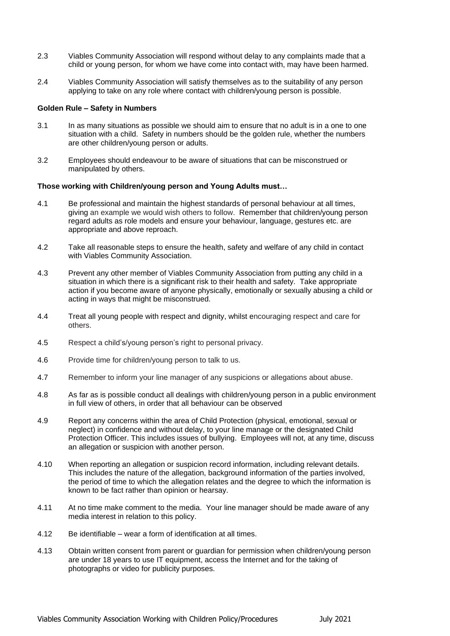- 2.3 Viables Community Association will respond without delay to any complaints made that a child or young person, for whom we have come into contact with, may have been harmed.
- 2.4 Viables Community Association will satisfy themselves as to the suitability of any person applying to take on any role where contact with children/young person is possible.

#### **Golden Rule – Safety in Numbers**

- 3.1 In as many situations as possible we should aim to ensure that no adult is in a one to one situation with a child. Safety in numbers should be the golden rule, whether the numbers are other children/young person or adults.
- 3.2 Employees should endeavour to be aware of situations that can be misconstrued or manipulated by others.

#### **Those working with Children/young person and Young Adults must…**

- 4.1 Be professional and maintain the highest standards of personal behaviour at all times, giving an example we would wish others to follow. Remember that children/young person regard adults as role models and ensure your behaviour, language, gestures etc. are appropriate and above reproach.
- 4.2 Take all reasonable steps to ensure the health, safety and welfare of any child in contact with Viables Community Association.
- 4.3 Prevent any other member of Viables Community Association from putting any child in a situation in which there is a significant risk to their health and safety. Take appropriate action if you become aware of anyone physically, emotionally or sexually abusing a child or acting in ways that might be misconstrued.
- 4.4 Treat all young people with respect and dignity, whilst encouraging respect and care for others.
- 4.5 Respect a child's/young person's right to personal privacy.
- 4.6 Provide time for children/young person to talk to us.
- 4.7 Remember to inform your line manager of any suspicions or allegations about abuse.
- 4.8 As far as is possible conduct all dealings with children/young person in a public environment in full view of others, in order that all behaviour can be observed
- 4.9 Report any concerns within the area of Child Protection (physical, emotional, sexual or neglect) in confidence and without delay, to your line manage or the designated Child Protection Officer. This includes issues of bullying. Employees will not, at any time, discuss an allegation or suspicion with another person.
- 4.10 When reporting an allegation or suspicion record information, including relevant details. This includes the nature of the allegation, background information of the parties involved, the period of time to which the allegation relates and the degree to which the information is known to be fact rather than opinion or hearsay.
- 4.11 At no time make comment to the media. Your line manager should be made aware of any media interest in relation to this policy.
- 4.12 Be identifiable wear a form of identification at all times.
- 4.13 Obtain written consent from parent or guardian for permission when children/young person are under 18 years to use IT equipment, access the Internet and for the taking of photographs or video for publicity purposes.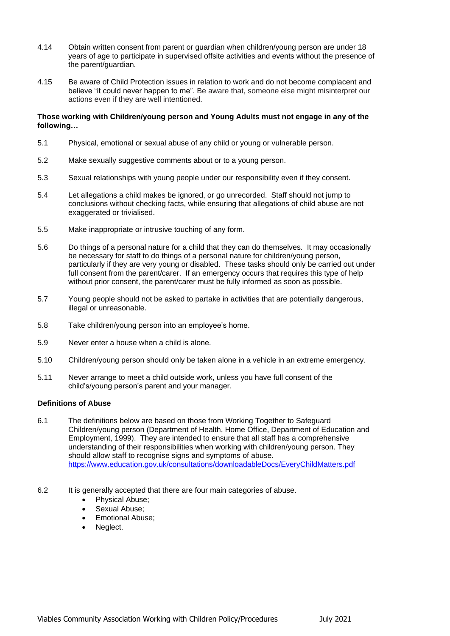- 4.14 Obtain written consent from parent or guardian when children/young person are under 18 years of age to participate in supervised offsite activities and events without the presence of the parent/guardian.
- 4.15 Be aware of Child Protection issues in relation to work and do not become complacent and believe "it could never happen to me". Be aware that, someone else might misinterpret our actions even if they are well intentioned.

#### **Those working with Children/young person and Young Adults must not engage in any of the following…**

- 5.1 Physical, emotional or sexual abuse of any child or young or vulnerable person.
- 5.2 Make sexually suggestive comments about or to a young person.
- 5.3 Sexual relationships with young people under our responsibility even if they consent.
- 5.4 Let allegations a child makes be ignored, or go unrecorded. Staff should not jump to conclusions without checking facts, while ensuring that allegations of child abuse are not exaggerated or trivialised.
- 5.5 Make inappropriate or intrusive touching of any form.
- 5.6 Do things of a personal nature for a child that they can do themselves. It may occasionally be necessary for staff to do things of a personal nature for children/young person, particularly if they are very young or disabled. These tasks should only be carried out under full consent from the parent/carer. If an emergency occurs that requires this type of help without prior consent, the parent/carer must be fully informed as soon as possible.
- 5.7 Young people should not be asked to partake in activities that are potentially dangerous, illegal or unreasonable.
- 5.8 Take children/young person into an employee's home.
- 5.9 Never enter a house when a child is alone.
- 5.10 Children/young person should only be taken alone in a vehicle in an extreme emergency.
- 5.11 Never arrange to meet a child outside work, unless you have full consent of the child's/young person's parent and your manager.

# **Definitions of Abuse**

- 6.1 The definitions below are based on those from Working Together to Safeguard Children/young person (Department of Health, Home Office, Department of Education and Employment, 1999). They are intended to ensure that all staff has a comprehensive understanding of their responsibilities when working with children/young person. They should allow staff to recognise signs and symptoms of abuse. <https://www.education.gov.uk/consultations/downloadableDocs/EveryChildMatters.pdf>
- 6.2 It is generally accepted that there are four main categories of abuse.
	- Physical Abuse;
	- Sexual Abuse:
	- Emotional Abuse;
	- Neglect.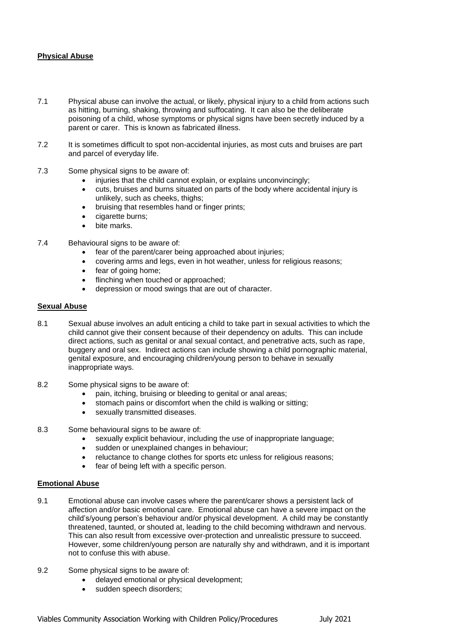# **Physical Abuse**

- 7.1 Physical abuse can involve the actual, or likely, physical injury to a child from actions such as hitting, burning, shaking, throwing and suffocating. It can also be the deliberate poisoning of a child, whose symptoms or physical signs have been secretly induced by a parent or carer. This is known as fabricated illness.
- 7.2 It is sometimes difficult to spot non-accidental injuries, as most cuts and bruises are part and parcel of everyday life.
- 7.3 Some physical signs to be aware of:
	- injuries that the child cannot explain, or explains unconvincingly;
	- cuts, bruises and burns situated on parts of the body where accidental injury is unlikely, such as cheeks, thighs;
	- bruising that resembles hand or finger prints;
	- cigarette burns:
	- bite marks.
- 7.4 Behavioural signs to be aware of:
	- fear of the parent/carer being approached about injuries;
	- covering arms and legs, even in hot weather, unless for religious reasons;
	- fear of going home:
	- flinching when touched or approached;
	- depression or mood swings that are out of character.

#### **Sexual Abuse**

- 8.1 Sexual abuse involves an adult enticing a child to take part in sexual activities to which the child cannot give their consent because of their dependency on adults. This can include direct actions, such as genital or anal sexual contact, and penetrative acts, such as rape, buggery and oral sex. Indirect actions can include showing a child pornographic material, genital exposure, and encouraging children/young person to behave in sexually inappropriate ways.
- 8.2 Some physical signs to be aware of:
	- pain, itching, bruising or bleeding to genital or anal areas;
	- stomach pains or discomfort when the child is walking or sitting;
	- sexually transmitted diseases.
- 8.3 Some behavioural signs to be aware of:
	- sexually explicit behaviour, including the use of inappropriate language;
	- sudden or unexplained changes in behaviour;
	- reluctance to change clothes for sports etc unless for religious reasons;
	- fear of being left with a specific person.

#### **Emotional Abuse**

- 9.1 Emotional abuse can involve cases where the parent/carer shows a persistent lack of affection and/or basic emotional care. Emotional abuse can have a severe impact on the child's/young person's behaviour and/or physical development. A child may be constantly threatened, taunted, or shouted at, leading to the child becoming withdrawn and nervous. This can also result from excessive over-protection and unrealistic pressure to succeed. However, some children/young person are naturally shy and withdrawn, and it is important not to confuse this with abuse.
- 9.2 Some physical signs to be aware of:
	- delayed emotional or physical development;
	- sudden speech disorders;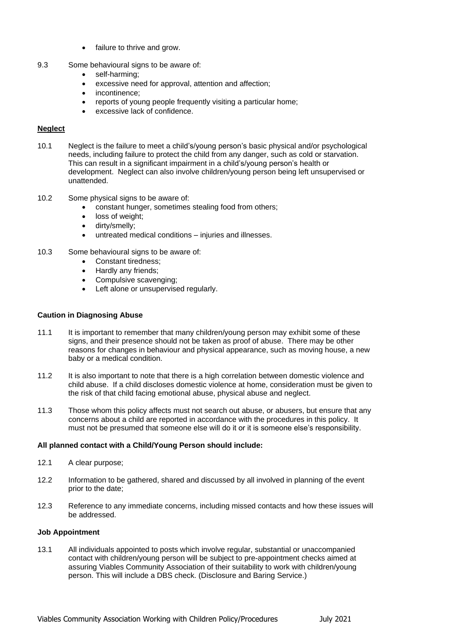- failure to thrive and grow.
- 9.3 Some behavioural signs to be aware of:
	- self-harming:
	- excessive need for approval, attention and affection;
	- incontinence:
	- reports of young people frequently visiting a particular home;
	- excessive lack of confidence.

# **Neglect**

- 10.1 Neglect is the failure to meet a child's/young person's basic physical and/or psychological needs, including failure to protect the child from any danger, such as cold or starvation. This can result in a significant impairment in a child's/young person's health or development. Neglect can also involve children/young person being left unsupervised or unattended.
- 10.2 Some physical signs to be aware of:
	- constant hunger, sometimes stealing food from others;
	- loss of weight;
	- dirty/smelly;
	- untreated medical conditions injuries and illnesses.
- 10.3 Some behavioural signs to be aware of:
	- Constant tiredness;
		- Hardly any friends:
		- Compulsive scavenging:
		- Left alone or unsupervised regularly.

#### **Caution in Diagnosing Abuse**

- 11.1 It is important to remember that many children/young person may exhibit some of these signs, and their presence should not be taken as proof of abuse. There may be other reasons for changes in behaviour and physical appearance, such as moving house, a new baby or a medical condition.
- 11.2 It is also important to note that there is a high correlation between domestic violence and child abuse. If a child discloses domestic violence at home, consideration must be given to the risk of that child facing emotional abuse, physical abuse and neglect.
- 11.3 Those whom this policy affects must not search out abuse, or abusers, but ensure that any concerns about a child are reported in accordance with the procedures in this policy. It must not be presumed that someone else will do it or it is someone else's responsibility.

#### **All planned contact with a Child/Young Person should include:**

- 12.1 A clear purpose;
- 12.2 Information to be gathered, shared and discussed by all involved in planning of the event prior to the date;
- 12.3 Reference to any immediate concerns, including missed contacts and how these issues will be addressed.

#### **Job Appointment**

13.1 All individuals appointed to posts which involve regular, substantial or unaccompanied contact with children/young person will be subject to pre-appointment checks aimed at assuring Viables Community Association of their suitability to work with children/young person. This will include a DBS check. (Disclosure and Baring Service.)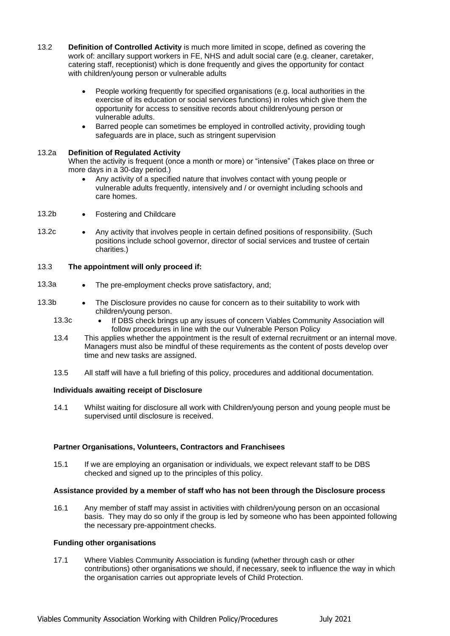- 13.2 **Definition of Controlled Activity** is much more limited in scope, defined as covering the work of: ancillary support workers in FE, NHS and adult social care (e.g. cleaner, caretaker, catering staff, receptionist) which is done frequently and gives the opportunity for contact with children/young person or vulnerable adults
	- People working frequently for specified organisations (e.g. local authorities in the exercise of its education or social services functions) in roles which give them the opportunity for access to sensitive records about children/young person or vulnerable adults.
	- Barred people can sometimes be employed in controlled activity, providing tough safeguards are in place, such as stringent supervision

### 13.2a **Definition of Regulated Activity**

When the activity is frequent (once a month or more) or "intensive" (Takes place on three or more days in a 30-day period.)

- Any activity of a specified nature that involves contact with young people or vulnerable adults frequently, intensively and / or overnight including schools and care homes.
- 13.2b Fostering and Childcare
- 13.2c Any activity that involves people in certain defined positions of responsibility. (Such positions include school governor, director of social services and trustee of certain charities.)

### 13.3 **The appointment will only proceed if:**

- 13.3a The pre-employment checks prove satisfactory, and;
- 13.3b The Disclosure provides no cause for concern as to their suitability to work with children/young person.
	- 13.3c If DBS check brings up any issues of concern Viables Community Association will follow procedures in line with the our Vulnerable Person Policy
	- 13.4 This applies whether the appointment is the result of external recruitment or an internal move. Managers must also be mindful of these requirements as the content of posts develop over time and new tasks are assigned.
	- 13.5 All staff will have a full briefing of this policy, procedures and additional documentation.

#### **Individuals awaiting receipt of Disclosure**

14.1 Whilst waiting for disclosure all work with Children/young person and young people must be supervised until disclosure is received.

# **Partner Organisations, Volunteers, Contractors and Franchisees**

15.1 If we are employing an organisation or individuals, we expect relevant staff to be DBS checked and signed up to the principles of this policy.

#### **Assistance provided by a member of staff who has not been through the Disclosure process**

16.1 Any member of staff may assist in activities with children/young person on an occasional basis. They may do so only if the group is led by someone who has been appointed following the necessary pre-appointment checks.

#### **Funding other organisations**

17.1 Where Viables Community Association is funding (whether through cash or other contributions) other organisations we should, if necessary, seek to influence the way in which the organisation carries out appropriate levels of Child Protection.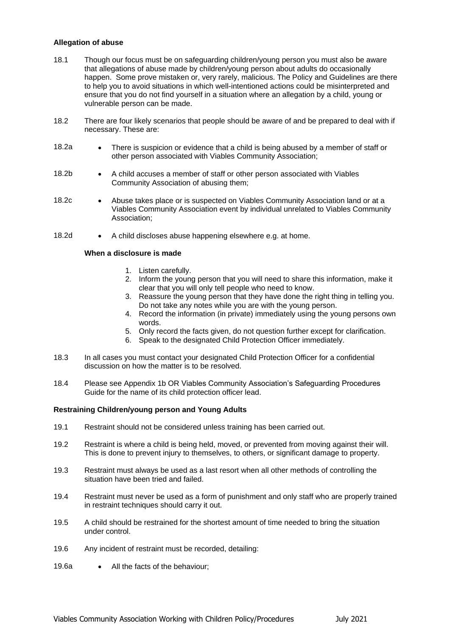#### **Allegation of abuse**

- 18.1 Though our focus must be on safeguarding children/young person you must also be aware that allegations of abuse made by children/young person about adults do occasionally happen. Some prove mistaken or, very rarely, malicious. The Policy and Guidelines are there to help you to avoid situations in which well-intentioned actions could be misinterpreted and ensure that you do not find yourself in a situation where an allegation by a child, young or vulnerable person can be made.
- 18.2 There are four likely scenarios that people should be aware of and be prepared to deal with if necessary. These are:
- 18.2a There is suspicion or evidence that a child is being abused by a member of staff or other person associated with Viables Community Association;
- 18.2b A child accuses a member of staff or other person associated with Viables Community Association of abusing them;
- 18.2c Abuse takes place or is suspected on Viables Community Association land or at a Viables Community Association event by individual unrelated to Viables Community Association;
- 18.2d A child discloses abuse happening elsewhere e.g. at home.

# **When a disclosure is made**

- 1. Listen carefully.
- 2. Inform the young person that you will need to share this information, make it clear that you will only tell people who need to know.
- 3. Reassure the young person that they have done the right thing in telling you. Do not take any notes while you are with the young person.
- 4. Record the information (in private) immediately using the young persons own words.
- 5. Only record the facts given, do not question further except for clarification.
- 6. Speak to the designated Child Protection Officer immediately.
- 18.3 In all cases you must contact your designated Child Protection Officer for a confidential discussion on how the matter is to be resolved.
- 18.4 Please see Appendix 1b OR Viables Community Association's Safeguarding Procedures Guide for the name of its child protection officer lead.

# **Restraining Children/young person and Young Adults**

- 19.1 Restraint should not be considered unless training has been carried out.
- 19.2 Restraint is where a child is being held, moved, or prevented from moving against their will. This is done to prevent injury to themselves, to others, or significant damage to property.
- 19.3 Restraint must always be used as a last resort when all other methods of controlling the situation have been tried and failed.
- 19.4 Restraint must never be used as a form of punishment and only staff who are properly trained in restraint techniques should carry it out.
- 19.5 A child should be restrained for the shortest amount of time needed to bring the situation under control.
- 19.6 Any incident of restraint must be recorded, detailing:
- 19.6a All the facts of the behaviour;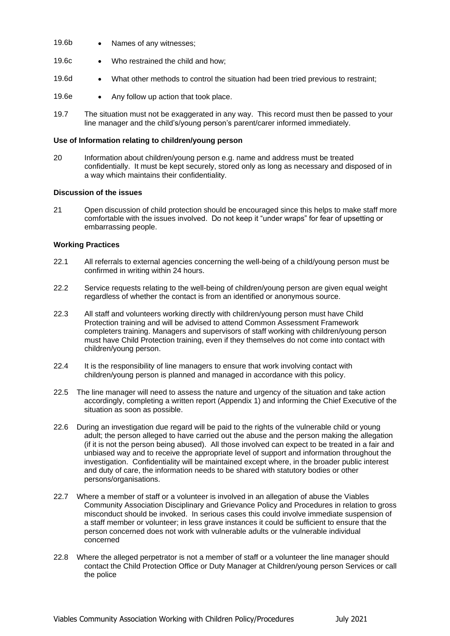- 19.6b Names of any witnesses;
- 19.6c Who restrained the child and how;
- 19.6d What other methods to control the situation had been tried previous to restraint;
- 19.6e Any follow up action that took place.
- 19.7 The situation must not be exaggerated in any way. This record must then be passed to your line manager and the child's/young person's parent/carer informed immediately.

#### **Use of Information relating to children/young person**

20 Information about children/young person e.g. name and address must be treated confidentially. It must be kept securely, stored only as long as necessary and disposed of in a way which maintains their confidentiality.

#### **Discussion of the issues**

21 Open discussion of child protection should be encouraged since this helps to make staff more comfortable with the issues involved. Do not keep it "under wraps" for fear of upsetting or embarrassing people.

#### **Working Practices**

- 22.1 All referrals to external agencies concerning the well-being of a child/young person must be confirmed in writing within 24 hours.
- 22.2 Service requests relating to the well-being of children/young person are given equal weight regardless of whether the contact is from an identified or anonymous source.
- 22.3 All staff and volunteers working directly with children/young person must have Child Protection training and will be advised to attend Common Assessment Framework completers training. Managers and supervisors of staff working with children/young person must have Child Protection training, even if they themselves do not come into contact with children/young person.
- 22.4 It is the responsibility of line managers to ensure that work involving contact with children/young person is planned and managed in accordance with this policy.
- 22.5 The line manager will need to assess the nature and urgency of the situation and take action accordingly, completing a written report (Appendix 1) and informing the Chief Executive of the situation as soon as possible.
- 22.6 During an investigation due regard will be paid to the rights of the vulnerable child or young adult; the person alleged to have carried out the abuse and the person making the allegation (if it is not the person being abused). All those involved can expect to be treated in a fair and unbiased way and to receive the appropriate level of support and information throughout the investigation. Confidentiality will be maintained except where, in the broader public interest and duty of care, the information needs to be shared with statutory bodies or other persons/organisations.
- 22.7 Where a member of staff or a volunteer is involved in an allegation of abuse the Viables Community Association Disciplinary and Grievance Policy and Procedures in relation to gross misconduct should be invoked. In serious cases this could involve immediate suspension of a staff member or volunteer; in less grave instances it could be sufficient to ensure that the person concerned does not work with vulnerable adults or the vulnerable individual concerned
- 22.8 Where the alleged perpetrator is not a member of staff or a volunteer the line manager should contact the Child Protection Office or Duty Manager at Children/young person Services or call the police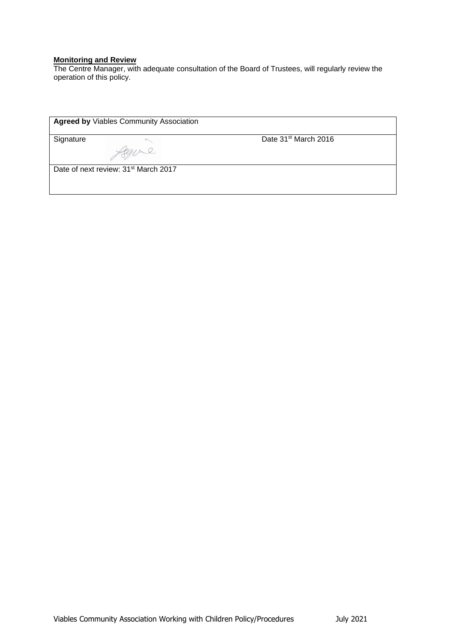## **Monitoring and Review**

The Centre Manager, with adequate consultation of the Board of Trustees, will regularly review the operation of this policy.

| Signature |                                                  | Date 31 <sup>st</sup> March 2016 |
|-----------|--------------------------------------------------|----------------------------------|
|           |                                                  |                                  |
|           | Date of next review: 31 <sup>st</sup> March 2017 |                                  |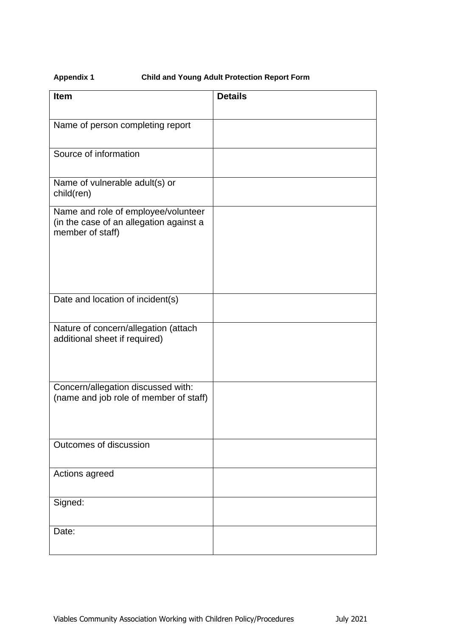# **Appendix 1 Child and Young Adult Protection Report Form**

| <b>Item</b>                                                                                        | <b>Details</b> |
|----------------------------------------------------------------------------------------------------|----------------|
| Name of person completing report                                                                   |                |
| Source of information                                                                              |                |
| Name of vulnerable adult(s) or<br>child(ren)                                                       |                |
| Name and role of employee/volunteer<br>(in the case of an allegation against a<br>member of staff) |                |
| Date and location of incident(s)                                                                   |                |
| Nature of concern/allegation (attach<br>additional sheet if required)                              |                |
| Concern/allegation discussed with:<br>(name and job role of member of staff)                       |                |
| Outcomes of discussion                                                                             |                |
| Actions agreed                                                                                     |                |
| Signed:                                                                                            |                |
| Date:                                                                                              |                |